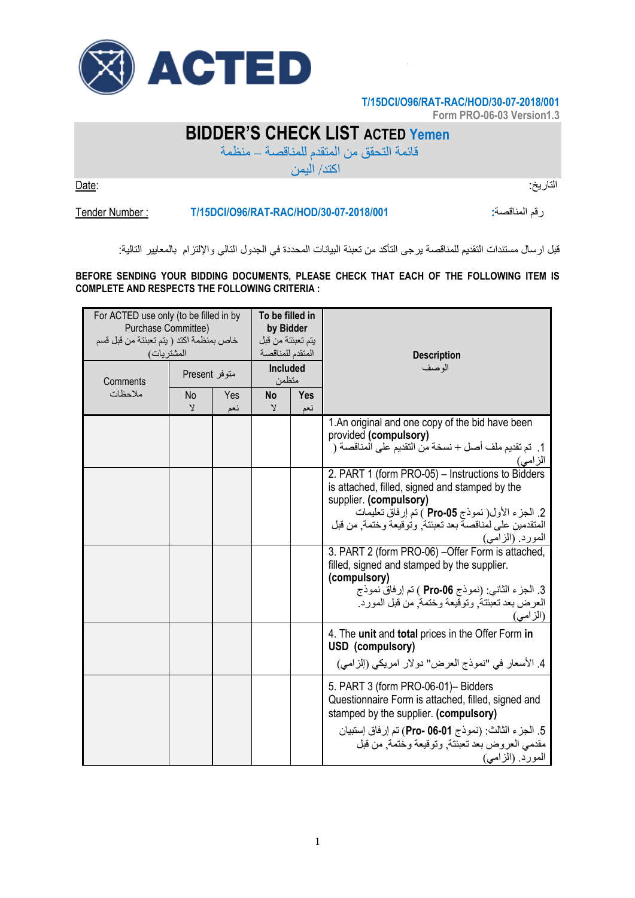

## **T/15DCI/O96/RAT-RAC/HOD/30-07-2018/001**

**Form PRO-06-03 Version1.3**

## **BIDDER'S CHECK LIST ACTED Yemen**

قائمة التحقق من المتقدم للمناقصة – منظمة

اكتد/ اليمن

التاريخ: :Date

Tender Number : **T/15DCI/O96/RAT-RAC/HOD/30-07-2018/001 :**المناقصة رقم

قبل ارسال مستندات التقديم للمناقصة يرجى التأكد من تعبئة البيانات المحددة في الجدول التالي واإللتزام بالمعايير التالية:

**BEFORE SENDING YOUR BIDDING DOCUMENTS, PLEASE CHECK THAT EACH OF THE FOLLOWING ITEM IS COMPLETE AND RESPECTS THE FOLLOWING CRITERIA :**

| For ACTED use only (to be filled in by<br>Purchase Committee)<br>خاص بمنظمة اكتد ( يتم تعبئتة من قبل قسم<br>المشتريات) |                          |            | To be filled in<br>by Bidder<br>يتم تعبئتة من قبل<br>المتقدم للمناقصة |            | <b>Description</b>                                                                                                                                                                                                                                                            |
|------------------------------------------------------------------------------------------------------------------------|--------------------------|------------|-----------------------------------------------------------------------|------------|-------------------------------------------------------------------------------------------------------------------------------------------------------------------------------------------------------------------------------------------------------------------------------|
| Comments<br>ملاحظات                                                                                                    | متوفر Present            |            | <b>Included</b><br>متظمن                                              |            | الو صف                                                                                                                                                                                                                                                                        |
|                                                                                                                        | No<br>$\mathbf{\hat{y}}$ | Yes<br>نعم | No<br>Υ                                                               | Yes<br>نعم |                                                                                                                                                                                                                                                                               |
|                                                                                                                        |                          |            |                                                                       |            | 1. An original and one copy of the bid have been<br>provided (compulsory)<br>1.  تم تقديم ملف أصل + نسخة من التقديم على المناقصة (<br>الزامي)                                                                                                                                 |
|                                                                                                                        |                          |            |                                                                       |            | 2. PART 1 (form PRO-05) - Instructions to Bidders<br>is attached, filled, signed and stamped by the<br>supplier. (compulsory)<br>2. الجزء الأول( نموذج Pro-05 ) تم إرفاق تعليمات<br>المتقدمين على لمناقصة بعد تعبئتة وتوقيعة وختمة من قبل<br>المورد (الزامى)                  |
|                                                                                                                        |                          |            |                                                                       |            | 3. PART 2 (form PRO-06) - Offer Form is attached,<br>filled, signed and stamped by the supplier.<br>(compulsory)<br>3. الجزء الثاني: (نموذج Pro-06 ) تم إرفاق نموذج<br>العرض بعد تعبئتة, وتوقيعة وختمة, من قبل المورد.<br>(الزامى)                                            |
|                                                                                                                        |                          |            |                                                                       |            | 4. The unit and total prices in the Offer Form in<br>USD (compulsory)<br>4. الأسعار في "نموذج العرض" دولار امريكي (إلزامي)                                                                                                                                                    |
|                                                                                                                        |                          |            |                                                                       |            | 5. PART 3 (form PRO-06-01)- Bidders<br>Questionnaire Form is attached, filled, signed and<br>stamped by the supplier. (compulsory)<br>5. الجزء الثالث: (نموذج <b>01-06 Pro- 06-</b> 01) تم إرفاق إستبيان<br>مقدمي العروض بعد تعبئتة, وتوقيعة وختمة, من قبل<br>المورد (الزامى) |